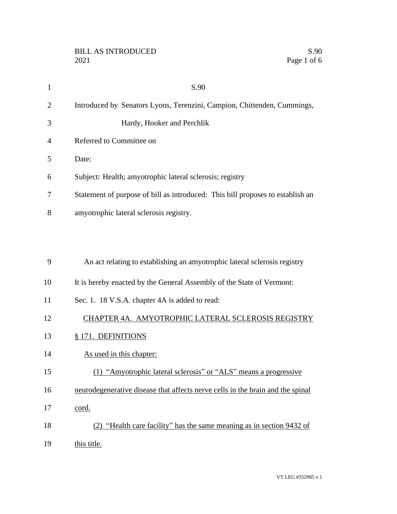| $\mathbf{1}$ | S.90                                                                           |
|--------------|--------------------------------------------------------------------------------|
| 2            | Introduced by Senators Lyons, Terenzini, Campion, Chittenden, Cummings,        |
| 3            | Hardy, Hooker and Perchlik                                                     |
| 4            | Referred to Committee on                                                       |
| 5            | Date:                                                                          |
| 6            | Subject: Health; amyotrophic lateral sclerosis; registry                       |
| 7            | Statement of purpose of bill as introduced: This bill proposes to establish an |
| 8            | amyotrophic lateral sclerosis registry.                                        |
|              |                                                                                |
| 9            | An act relating to establishing an amyotrophic lateral sclerosis registry      |
| 10           | It is hereby enacted by the General Assembly of the State of Vermont:          |
| 11           | Sec. 1. 18 V.S.A. chapter 4A is added to read:                                 |
| 12           | CHAPTER 4A. AMYOTROPHIC LATERAL SCLEROSIS REGISTRY                             |
| 13           | § 171. DEFINITIONS                                                             |
| 14           | As used in this chapter:                                                       |
| 15           | (1) "Amyotrophic lateral sclerosis" or "ALS" means a progressive               |
| 16           | neurodegenerative disease that affects nerve cells in the brain and the spinal |
| 17           | cord.                                                                          |
| 18           | (2) "Health care facility" has the same meaning as in section 9432 of          |
| 19           | this title.                                                                    |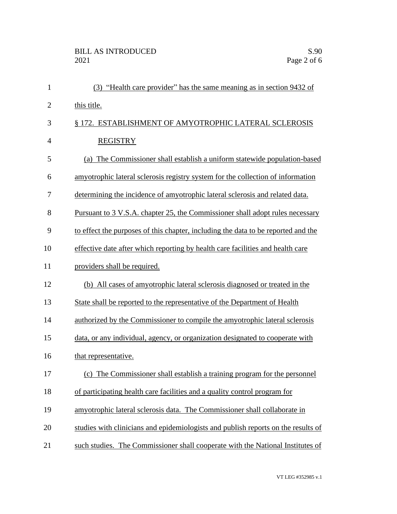| $\mathbf{1}$ | (3) "Health care provider" has the same meaning as in section 9432 of             |
|--------------|-----------------------------------------------------------------------------------|
| $\mathbf{2}$ | this title.                                                                       |
| 3            | § 172. ESTABLISHMENT OF AMYOTROPHIC LATERAL SCLEROSIS                             |
| 4            | <b>REGISTRY</b>                                                                   |
| 5            | (a) The Commissioner shall establish a uniform statewide population-based         |
| 6            | amyotrophic lateral sclerosis registry system for the collection of information   |
| 7            | determining the incidence of amyotrophic lateral sclerosis and related data.      |
| 8            | Pursuant to 3 V.S.A. chapter 25, the Commissioner shall adopt rules necessary     |
| 9            | to effect the purposes of this chapter, including the data to be reported and the |
| 10           | effective date after which reporting by health care facilities and health care    |
| 11           | providers shall be required.                                                      |
| 12           | (b) All cases of amyotrophic lateral sclerosis diagnosed or treated in the        |
| 13           | State shall be reported to the representative of the Department of Health         |
| 14           | authorized by the Commissioner to compile the amyotrophic lateral sclerosis       |
| 15           | data, or any individual, agency, or organization designated to cooperate with     |
| 16           | that representative.                                                              |
| 17           | (c) The Commissioner shall establish a training program for the personnel         |
| 18           | of participating health care facilities and a quality control program for         |
| 19           | amyotrophic lateral sclerosis data. The Commissioner shall collaborate in         |
| 20           | studies with clinicians and epidemiologists and publish reports on the results of |
| 21           | such studies. The Commissioner shall cooperate with the National Institutes of    |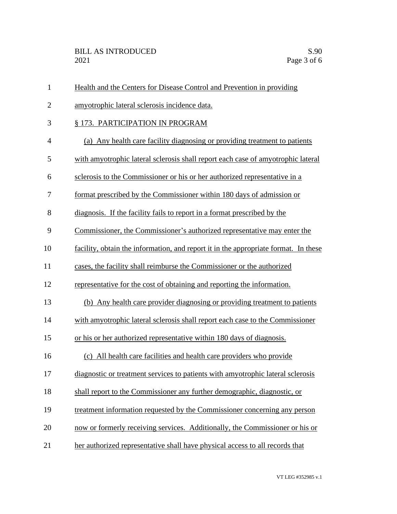| $\mathbf{1}$   | Health and the Centers for Disease Control and Prevention in providing              |
|----------------|-------------------------------------------------------------------------------------|
| $\overline{2}$ | amyotrophic lateral sclerosis incidence data.                                       |
| 3              | § 173. PARTICIPATION IN PROGRAM                                                     |
| 4              | (a) Any health care facility diagnosing or providing treatment to patients          |
| 5              | with amyotrophic lateral sclerosis shall report each case of amyotrophic lateral    |
| 6              | sclerosis to the Commissioner or his or her authorized representative in a          |
| 7              | format prescribed by the Commissioner within 180 days of admission or               |
| 8              | diagnosis. If the facility fails to report in a format prescribed by the            |
| 9              | Commissioner, the Commissioner's authorized representative may enter the            |
| 10             | facility, obtain the information, and report it in the appropriate format. In these |
| 11             | cases, the facility shall reimburse the Commissioner or the authorized              |
| 12             | representative for the cost of obtaining and reporting the information.             |
| 13             | (b) Any health care provider diagnosing or providing treatment to patients          |
| 14             | with amyotrophic lateral sclerosis shall report each case to the Commissioner       |
| 15             | or his or her authorized representative within 180 days of diagnosis.               |
| 16             | (c) All health care facilities and health care providers who provide                |
| 17             | diagnostic or treatment services to patients with amyotrophic lateral sclerosis     |
| 18             | shall report to the Commissioner any further demographic, diagnostic, or            |
| 19             | treatment information requested by the Commissioner concerning any person           |
| 20             | now or formerly receiving services. Additionally, the Commissioner or his or        |
| 21             | her authorized representative shall have physical access to all records that        |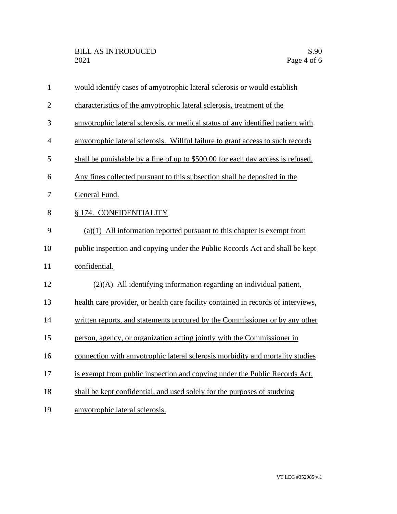| $\mathbf{1}$   | would identify cases of amyotrophic lateral sclerosis or would establish          |
|----------------|-----------------------------------------------------------------------------------|
| $\overline{2}$ | characteristics of the amyotrophic lateral sclerosis, treatment of the            |
| 3              | amyotrophic lateral sclerosis, or medical status of any identified patient with   |
| $\overline{4}$ | amyotrophic lateral sclerosis. Willful failure to grant access to such records    |
| 5              | shall be punishable by a fine of up to \$500.00 for each day access is refused.   |
| 6              | Any fines collected pursuant to this subsection shall be deposited in the         |
| 7              | General Fund.                                                                     |
| 8              | § 174. CONFIDENTIALITY                                                            |
| 9              | $(a)(1)$ All information reported pursuant to this chapter is exempt from         |
| 10             | public inspection and copying under the Public Records Act and shall be kept      |
| 11             | confidential.                                                                     |
| 12             | $(2)(A)$ All identifying information regarding an individual patient,             |
| 13             | health care provider, or health care facility contained in records of interviews, |
| 14             | written reports, and statements procured by the Commissioner or by any other      |
| 15             | person, agency, or organization acting jointly with the Commissioner in           |
| 16             | connection with amyotrophic lateral sclerosis morbidity and mortality studies     |
| 17             | is exempt from public inspection and copying under the Public Records Act,        |
| 18             | shall be kept confidential, and used solely for the purposes of studying          |
| 19             | amyotrophic lateral sclerosis.                                                    |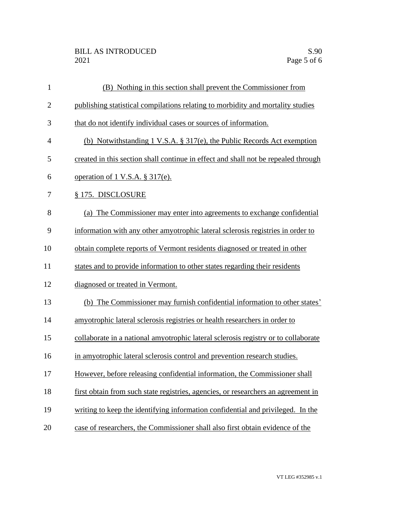| $\mathbf{1}$   | (B) Nothing in this section shall prevent the Commissioner from                    |
|----------------|------------------------------------------------------------------------------------|
| $\overline{2}$ | publishing statistical compilations relating to morbidity and mortality studies    |
| 3              | that do not identify individual cases or sources of information.                   |
| $\overline{4}$ | (b) Notwithstanding 1 V.S.A. § 317(e), the Public Records Act exemption            |
| 5              | created in this section shall continue in effect and shall not be repealed through |
| 6              | <u>operation of 1 V.S.A. § 317(e).</u>                                             |
| 7              | § 175. DISCLOSURE                                                                  |
| 8              | (a) The Commissioner may enter into agreements to exchange confidential            |
| 9              | information with any other amyotrophic lateral sclerosis registries in order to    |
| 10             | obtain complete reports of Vermont residents diagnosed or treated in other         |
| 11             | states and to provide information to other states regarding their residents        |
| 12             | diagnosed or treated in Vermont.                                                   |
| 13             | (b) The Commissioner may furnish confidential information to other states'         |
| 14             | amyotrophic lateral sclerosis registries or health researchers in order to         |
| 15             | collaborate in a national amyotrophic lateral sclerosis registry or to collaborate |
| 16             | in amyotrophic lateral sclerosis control and prevention research studies.          |
| 17             | However, before releasing confidential information, the Commissioner shall         |
| 18             | first obtain from such state registries, agencies, or researchers an agreement in  |
| 19             | writing to keep the identifying information confidential and privileged. In the    |
| 20             | case of researchers, the Commissioner shall also first obtain evidence of the      |